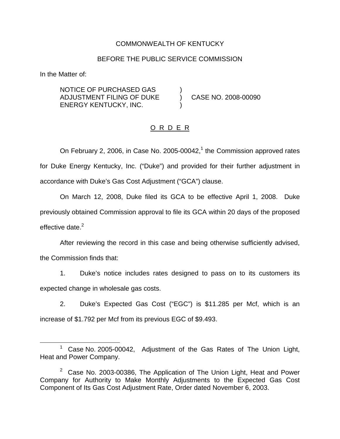### COMMONWEALTH OF KENTUCKY

#### BEFORE THE PUBLIC SERVICE COMMISSION

In the Matter of:

NOTICE OF PURCHASED GAS ) ADJUSTMENT FILING OF DUKE ) CASE NO. 2008-00090 ENERGY KENTUCKY, INC. )

### O R D E R

On February 2, 2006, in Case No. 2005-00042, $1$  the Commission approved rates for Duke Energy Kentucky, Inc. ("Duke") and provided for their further adjustment in accordance with Duke's Gas Cost Adjustment ("GCA") clause.

On March 12, 2008, Duke filed its GCA to be effective April 1, 2008. Duke previously obtained Commission approval to file its GCA within 20 days of the proposed effective date.<sup>2</sup>

After reviewing the record in this case and being otherwise sufficiently advised, the Commission finds that:

1. Duke's notice includes rates designed to pass on to its customers its expected change in wholesale gas costs.

2. Duke's Expected Gas Cost ("EGC") is \$11.285 per Mcf, which is an increase of \$1.792 per Mcf from its previous EGC of \$9.493.

<sup>&</sup>lt;sup>1</sup> Case No. 2005-00042, Adjustment of the Gas Rates of The Union Light, Heat and Power Company.

 $2$  Case No. 2003-00386, The Application of The Union Light, Heat and Power Company for Authority to Make Monthly Adjustments to the Expected Gas Cost Component of Its Gas Cost Adjustment Rate, Order dated November 6, 2003.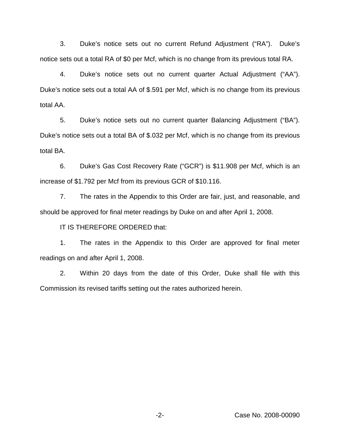3. Duke's notice sets out no current Refund Adjustment ("RA"). Duke's notice sets out a total RA of \$0 per Mcf, which is no change from its previous total RA.

4. Duke's notice sets out no current quarter Actual Adjustment ("AA"). Duke's notice sets out a total AA of \$.591 per Mcf, which is no change from its previous total AA.

5. Duke's notice sets out no current quarter Balancing Adjustment ("BA"). Duke's notice sets out a total BA of \$.032 per Mcf, which is no change from its previous total BA.

6. Duke's Gas Cost Recovery Rate ("GCR") is \$11.908 per Mcf, which is an increase of \$1.792 per Mcf from its previous GCR of \$10.116.

7. The rates in the Appendix to this Order are fair, just, and reasonable, and should be approved for final meter readings by Duke on and after April 1, 2008.

IT IS THEREFORE ORDERED that:

1. The rates in the Appendix to this Order are approved for final meter readings on and after April 1, 2008.

2. Within 20 days from the date of this Order, Duke shall file with this Commission its revised tariffs setting out the rates authorized herein.

-2- Case No. 2008-00090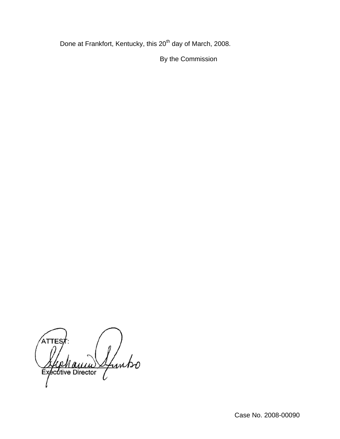Done at Frankfort, Kentucky, this 20<sup>th</sup> day of March, 2008.

By the Commission

ATTE Sfuntso Executive Director